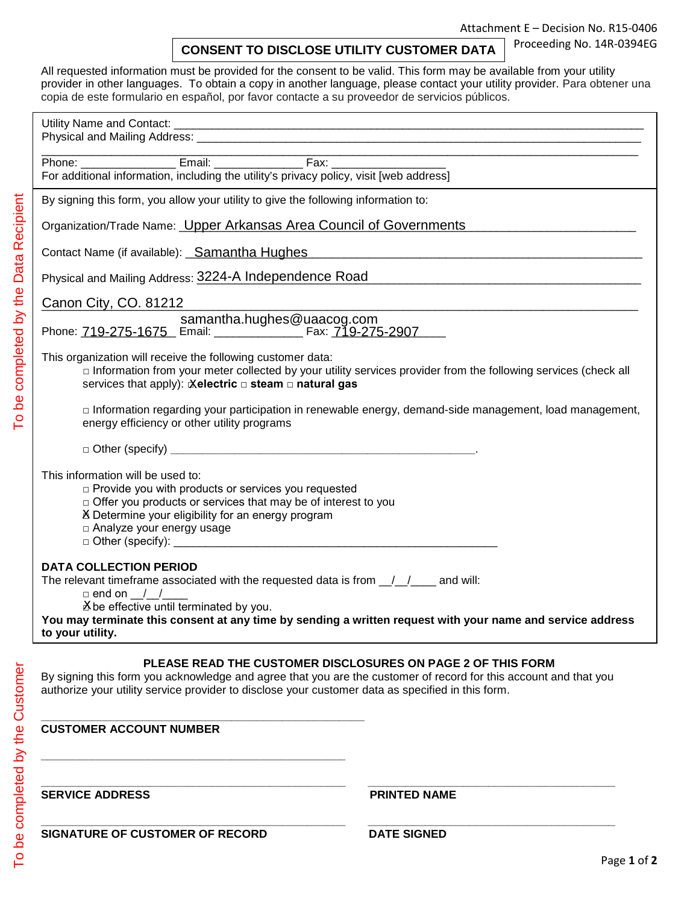Proceeding No. 14R-0394EG

|  |  | <b>CONSENT TO DISCLOSE UTILITY CUSTOMER DATA</b> |
|--|--|--------------------------------------------------|
|--|--|--------------------------------------------------|

All requested information must be provided for the consent to be valid. This form may be available from your utility provider in other languages. To obtain a copy in another language, please contact your utility provider. Para obtener una copia de este formulario en español, por favor contacte a su proveedor de servicios públicos.

| For additional information, including the utility's privacy policy, visit [web address]                                                                                                                                                                                                                                             |  |  |
|-------------------------------------------------------------------------------------------------------------------------------------------------------------------------------------------------------------------------------------------------------------------------------------------------------------------------------------|--|--|
| By signing this form, you allow your utility to give the following information to:                                                                                                                                                                                                                                                  |  |  |
| Organization/Trade Name: Upper Arkansas Area Council of Governments                                                                                                                                                                                                                                                                 |  |  |
| Contact Name (if available): Samantha Hughes Manuel Allen Contact Name (if available): Samantha Hughes                                                                                                                                                                                                                              |  |  |
| Physical and Mailing Address: 3224-A Independence Road<br><u> 2000 - 2000 - 2000 - 2000 - 2000 - 2000 - 2000 - 2000 - 2000 - 2000 - 2000 - 2000 - 2000 - 2000 - 2000 - 200</u>                                                                                                                                                      |  |  |
| Canon City, CO. 81212<br><u> 1989 - Johann Barbara, martxa alemaniar argumento de la contrada de la contrada de la contrada de la contrad</u>                                                                                                                                                                                       |  |  |
|                                                                                                                                                                                                                                                                                                                                     |  |  |
| This organization will receive the following customer data:<br>□ Information from your meter collected by your utility services provider from the following services (check all<br>services that apply): Xelectric □ steam □ natural gas                                                                                            |  |  |
| □ Information regarding your participation in renewable energy, demand-side management, load management,<br>energy efficiency or other utility programs                                                                                                                                                                             |  |  |
|                                                                                                                                                                                                                                                                                                                                     |  |  |
| This information will be used to:<br>□ Provide you with products or services you requested<br>$\Box$ Offer you products or services that may be of interest to you<br>X Determine your eligibility for an energy program<br>□ Analyze your energy usage                                                                             |  |  |
| <b>DATA COLLECTION PERIOD</b><br>The relevant timeframe associated with the requested data is from $\frac{1}{1-\alpha}$ and will:<br>$\Box$ end on / /<br>X be effective until terminated by you.<br>You may terminate this consent at any time by sending a written request with your name and service address<br>to your utility. |  |  |
| <b>PLEASE READ THE CUSTOMER DISCLOSURES ON PAGE 2 OF THIS FORM</b><br>By signing this form you acknowledge and agree that you are the customer of record for this account and that you<br>authorize your utility service provider to disclose your customer data as specified in this form.                                         |  |  |
| <b>CUSTOMER ACCOUNT NUMBER</b>                                                                                                                                                                                                                                                                                                      |  |  |

**SERVICE ADDRESS PRINTED NAME**

To be completed by the Customer

To be completed by the Customer

**\_\_\_\_\_\_\_\_\_\_\_\_\_\_\_\_\_\_\_\_\_\_\_\_\_\_\_\_\_\_\_\_\_\_\_\_\_\_\_\_\_\_\_\_\_\_\_\_ \_\_\_\_\_\_\_\_\_\_\_\_\_\_\_\_\_\_\_\_\_\_\_\_\_\_\_\_\_\_\_\_\_\_\_\_\_\_\_**

| <b>SIGNATURE OF CUSTOMER OF RECORD</b> | <b>DATE SIGNED</b> |
|----------------------------------------|--------------------|